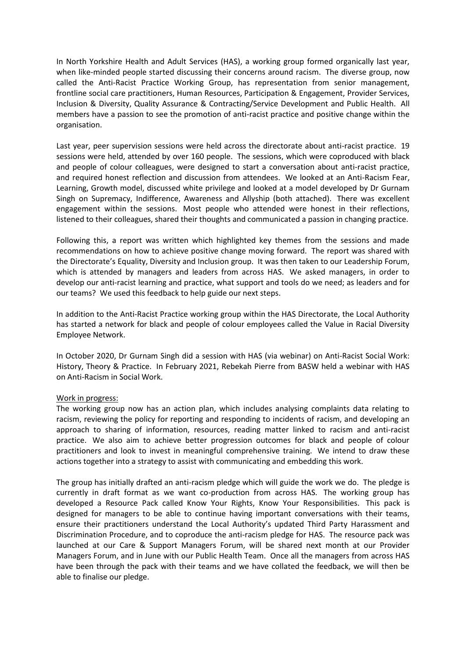In North Yorkshire Health and Adult Services (HAS), a working group formed organically last year, when like-minded people started discussing their concerns around racism. The diverse group, now called the Anti-Racist Practice Working Group, has representation from senior management, frontline social care practitioners, Human Resources, Participation & Engagement, Provider Services, Inclusion & Diversity, Quality Assurance & Contracting/Service Development and Public Health. All members have a passion to see the promotion of anti-racist practice and positive change within the organisation.

Last year, peer supervision sessions were held across the directorate about anti-racist practice. 19 sessions were held, attended by over 160 people. The sessions, which were coproduced with black and people of colour colleagues, were designed to start a conversation about anti-racist practice, and required honest reflection and discussion from attendees. We looked at an Anti-Racism Fear, Learning, Growth model, discussed white privilege and looked at a model developed by Dr Gurnam Singh on Supremacy, Indifference, Awareness and Allyship (both attached). There was excellent engagement within the sessions. Most people who attended were honest in their reflections, listened to their colleagues, shared their thoughts and communicated a passion in changing practice.

Following this, a report was written which highlighted key themes from the sessions and made recommendations on how to achieve positive change moving forward. The report was shared with the Directorate's Equality, Diversity and Inclusion group. It was then taken to our Leadership Forum, which is attended by managers and leaders from across HAS. We asked managers, in order to develop our anti-racist learning and practice, what support and tools do we need; as leaders and for our teams? We used this feedback to help guide our next steps.

In addition to the Anti-Racist Practice working group within the HAS Directorate, the Local Authority has started a network for black and people of colour employees called the Value in Racial Diversity Employee Network.

In October 2020, Dr Gurnam Singh did a session with HAS (via webinar) on Anti-Racist Social Work: History, Theory & Practice. In February 2021, Rebekah Pierre from BASW held a webinar with HAS on Anti-Racism in Social Work.

## Work in progress:

The working group now has an action plan, which includes analysing complaints data relating to racism, reviewing the policy for reporting and responding to incidents of racism, and developing an approach to sharing of information, resources, reading matter linked to racism and anti-racist practice. We also aim to achieve better progression outcomes for black and people of colour practitioners and look to invest in meaningful comprehensive training. We intend to draw these actions together into a strategy to assist with communicating and embedding this work.

The group has initially drafted an anti-racism pledge which will guide the work we do. The pledge is currently in draft format as we want co-production from across HAS. The working group has developed a Resource Pack called Know Your Rights, Know Your Responsibilities. This pack is designed for managers to be able to continue having important conversations with their teams, ensure their practitioners understand the Local Authority's updated Third Party Harassment and Discrimination Procedure, and to coproduce the anti-racism pledge for HAS. The resource pack was launched at our Care & Support Managers Forum, will be shared next month at our Provider Managers Forum, and in June with our Public Health Team. Once all the managers from across HAS have been through the pack with their teams and we have collated the feedback, we will then be able to finalise our pledge.